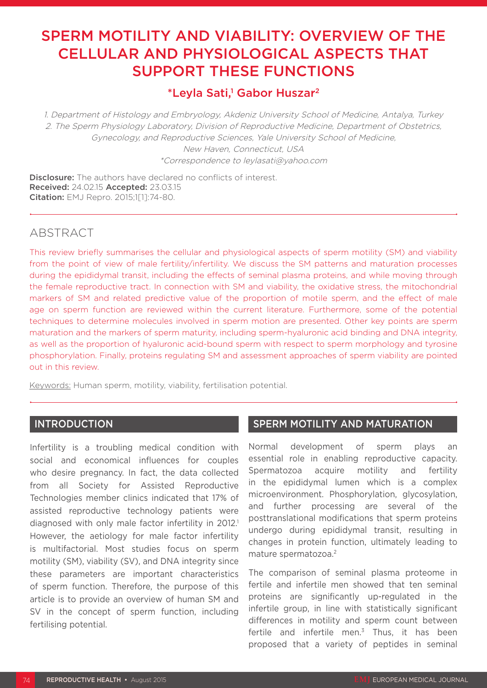# SPERM MOTILITY AND VIABILITY: OVERVIEW OF THE CELLULAR AND PHYSIOLOGICAL ASPECTS THAT SUPPORT THESE FUNCTIONS

# \*Leyla Sati,<sup>1</sup> Gabor Huszar<sup>2</sup>

1. Department of Histology and Embryology, Akdeniz University School of Medicine, Antalya, Turkey 2. The Sperm Physiology Laboratory, Division of Reproductive Medicine, Department of Obstetrics, Gynecology, and Reproductive Sciences, Yale University School of Medicine, New Haven, Connecticut, USA \*Correspondence to leylasati@yahoo.com

Disclosure: The authors have declared no conflicts of interest. Received: 24.02.15 Accepted: 23.03.15 Citation: EMJ Repro. 2015;1[1]:74-80.

# ABSTRACT

This review briefly summarises the cellular and physiological aspects of sperm motility (SM) and viability from the point of view of male fertility/infertility. We discuss the SM patterns and maturation processes during the epididymal transit, including the effects of seminal plasma proteins, and while moving through the female reproductive tract. In connection with SM and viability, the oxidative stress, the mitochondrial markers of SM and related predictive value of the proportion of motile sperm, and the effect of male age on sperm function are reviewed within the current literature. Furthermore, some of the potential techniques to determine molecules involved in sperm motion are presented. Other key points are sperm maturation and the markers of sperm maturity, including sperm-hyaluronic acid binding and DNA integrity, as well as the proportion of hyaluronic acid-bound sperm with respect to sperm morphology and tyrosine phosphorylation. Finally, proteins regulating SM and assessment approaches of sperm viability are pointed out in this review.

Keywords: Human sperm, motility, viability, fertilisation potential.

## INTRODUCTION

Infertility is a troubling medical condition with social and economical influences for couples who desire pregnancy. In fact, the data collected from all Society for Assisted Reproductive Technologies member clinics indicated that 17% of assisted reproductive technology patients were diagnosed with only male factor infertility in 2012.<sup>1</sup> However, the aetiology for male factor infertility is multifactorial. Most studies focus on sperm motility (SM), viability (SV), and DNA integrity since these parameters are important characteristics of sperm function. Therefore, the purpose of this article is to provide an overview of human SM and SV in the concept of sperm function, including fertilising potential.

### SPERM MOTILITY AND MATURATION

Normal development of sperm plays an essential role in enabling reproductive capacity. Spermatozoa acquire motility and fertility in the epididymal lumen which is a complex microenvironment. Phosphorylation, glycosylation, and further processing are several of the posttranslational modifications that sperm proteins undergo during epididymal transit, resulting in changes in protein function, ultimately leading to mature spermatozoa.2

The comparison of seminal plasma proteome in fertile and infertile men showed that ten seminal proteins are significantly up-regulated in the infertile group, in line with statistically significant differences in motility and sperm count between fertile and infertile men. $3$  Thus, it has been proposed that a variety of peptides in seminal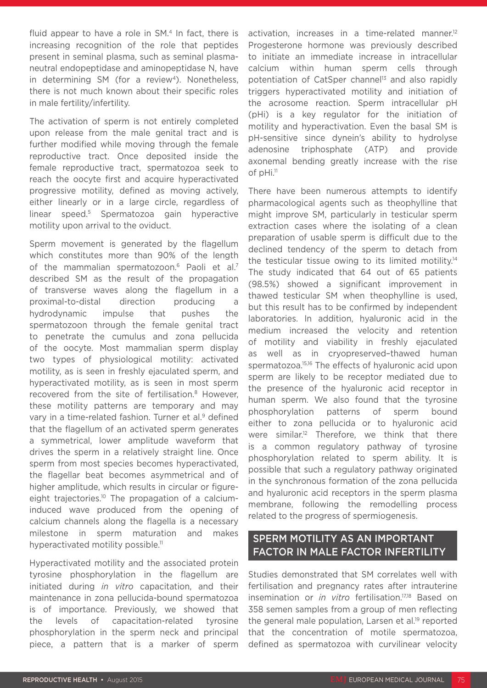fluid appear to have a role in  $SM<sup>4</sup>$  In fact, there is increasing recognition of the role that peptides present in seminal plasma, such as seminal plasmaneutral endopeptidase and aminopeptidase N, have in determining SM (for a review<sup>4</sup>). Nonetheless, there is not much known about their specific roles in male fertility/infertility.

The activation of sperm is not entirely completed upon release from the male genital tract and is further modified while moving through the female reproductive tract. Once deposited inside the female reproductive tract, spermatozoa seek to reach the oocyte first and acquire hyperactivated progressive motility, defined as moving actively, either linearly or in a large circle, regardless of linear speed.5 Spermatozoa gain hyperactive motility upon arrival to the oviduct.

Sperm movement is generated by the flagellum which constitutes more than 90% of the length of the mammalian spermatozoon.<sup>6</sup> Paoli et al.<sup>7</sup> described SM as the result of the propagation of transverse waves along the flagellum in a proximal-to-distal direction producing hydrodynamic impulse that pushes the spermatozoon through the female genital tract to penetrate the cumulus and zona pellucida of the oocyte. Most mammalian sperm display two types of physiological motility: activated motility, as is seen in freshly ejaculated sperm, and hyperactivated motility, as is seen in most sperm recovered from the site of fertilisation.8 However, these motility patterns are temporary and may vary in a time-related fashion. Turner et al.<sup>9</sup> defined that the flagellum of an activated sperm generates a symmetrical, lower amplitude waveform that drives the sperm in a relatively straight line. Once sperm from most species becomes hyperactivated, the flagellar beat becomes asymmetrical and of higher amplitude, which results in circular or figureeight trajectories.<sup>10</sup> The propagation of a calciuminduced wave produced from the opening of calcium channels along the flagella is a necessary milestone in sperm maturation and makes hyperactivated motility possible.<sup>11</sup>

Hyperactivated motility and the associated protein tyrosine phosphorylation in the flagellum are initiated during *in vitro* capacitation, and their maintenance in zona pellucida-bound spermatozoa is of importance. Previously, we showed that the levels of capacitation-related tyrosine phosphorylation in the sperm neck and principal piece, a pattern that is a marker of sperm

activation, increases in a time-related manner.<sup>12</sup> Progesterone hormone was previously described to initiate an immediate increase in intracellular calcium within human sperm cells through potentiation of CatSper channel<sup>13</sup> and also rapidly triggers hyperactivated motility and initiation of the acrosome reaction. Sperm intracellular pH (pHi) is a key regulator for the initiation of motility and hyperactivation. Even the basal SM is pH-sensitive since dynein's ability to hydrolyse adenosine triphosphate (ATP) and provide axonemal bending greatly increase with the rise of pHi.<sup>11</sup>

There have been numerous attempts to identify pharmacological agents such as theophylline that might improve SM, particularly in testicular sperm extraction cases where the isolating of a clean preparation of usable sperm is difficult due to the declined tendency of the sperm to detach from the testicular tissue owing to its limited motility.<sup>14</sup> The study indicated that 64 out of 65 patients (98.5%) showed a significant improvement in thawed testicular SM when theophylline is used, but this result has to be confirmed by independent laboratories. In addition, hyaluronic acid in the medium increased the velocity and retention of motility and viability in freshly ejaculated as well as in cryopreserved–thawed human spermatozoa.<sup>15,16</sup> The effects of hyaluronic acid upon sperm are likely to be receptor mediated due to the presence of the hyaluronic acid receptor in human sperm. We also found that the tyrosine phosphorylation patterns of sperm bound either to zona pellucida or to hyaluronic acid were similar.<sup>12</sup> Therefore, we think that there is a common regulatory pathway of tyrosine phosphorylation related to sperm ability. It is possible that such a regulatory pathway originated in the synchronous formation of the zona pellucida and hyaluronic acid receptors in the sperm plasma membrane, following the remodelling process related to the progress of spermiogenesis.

## SPERM MOTILITY AS AN IMPORTANT FACTOR IN MALE FACTOR INFERTILITY

Studies demonstrated that SM correlates well with fertilisation and pregnancy rates after intrauterine insemination or *in vitro* fertilisation.17,18 Based on 358 semen samples from a group of men reflecting the general male population, Larsen et al.<sup>19</sup> reported that the concentration of motile spermatozoa, defined as spermatozoa with curvilinear velocity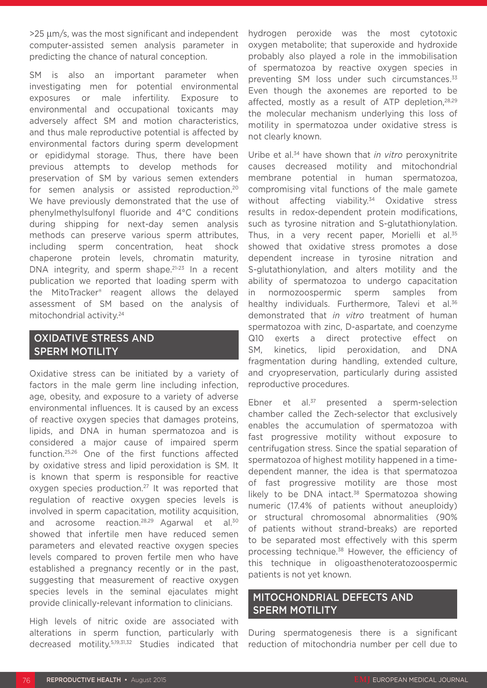>25 µm/s, was the most significant and independent computer-assisted semen analysis parameter in predicting the chance of natural conception.

SM is also an important parameter when investigating men for potential environmental exposures or male infertility. Exposure to environmental and occupational toxicants may adversely affect SM and motion characteristics, and thus male reproductive potential is affected by environmental factors during sperm development or epididymal storage. Thus, there have been previous attempts to develop methods for preservation of SM by various semen extenders for semen analysis or assisted reproduction.20 We have previously demonstrated that the use of phenylmethylsulfonyl fluoride and 4°C conditions during shipping for next-day semen analysis methods can preserve various sperm attributes, including sperm concentration, heat shock chaperone protein levels, chromatin maturity, DNA integrity, and sperm shape. $21-23$  In a recent publication we reported that loading sperm with the MitoTracker® reagent allows the delayed assessment of SM based on the analysis of mitochondrial activity.24

# OXIDATIVE STRESS AND SPERM MOTILITY

Oxidative stress can be initiated by a variety of factors in the male germ line including infection, age, obesity, and exposure to a variety of adverse environmental influences. It is caused by an excess of reactive oxygen species that damages proteins, lipids, and DNA in human spermatozoa and is considered a major cause of impaired sperm function.25,26 One of the first functions affected by oxidative stress and lipid peroxidation is SM. It is known that sperm is responsible for reactive oxygen species production.27 It was reported that regulation of reactive oxygen species levels is involved in sperm capacitation, motility acquisition, and acrosome reaction.<sup>28,29</sup> Agarwal et al.<sup>30</sup> showed that infertile men have reduced semen parameters and elevated reactive oxygen species levels compared to proven fertile men who have established a pregnancy recently or in the past, suggesting that measurement of reactive oxygen species levels in the seminal ejaculates might provide clinically-relevant information to clinicians.

High levels of nitric oxide are associated with alterations in sperm function, particularly with decreased motility.5,19,31,32 Studies indicated that hydrogen peroxide was the most cytotoxic oxygen metabolite; that superoxide and hydroxide probably also played a role in the immobilisation of spermatozoa by reactive oxygen species in preventing SM loss under such circumstances.<sup>33</sup> Even though the axonemes are reported to be affected, mostly as a result of ATP depletion, 28,29 the molecular mechanism underlying this loss of motility in spermatozoa under oxidative stress is not clearly known.

Uribe et al.34 have shown that *in vitro* peroxynitrite causes decreased motility and mitochondrial membrane potential in human spermatozoa, compromising vital functions of the male gamete without affecting viability.<sup>34</sup> Oxidative stress results in redox-dependent protein modifications, such as tyrosine nitration and S-glutathionylation. Thus, in a very recent paper, Morielli et al.<sup>35</sup> showed that oxidative stress promotes a dose dependent increase in tyrosine nitration and S-glutathionylation, and alters motility and the ability of spermatozoa to undergo capacitation in normozoospermic sperm samples from healthy individuals. Furthermore, Talevi et al.<sup>36</sup> demonstrated that *in vitro* treatment of human spermatozoa with zinc, D-aspartate, and coenzyme Q10 exerts a direct protective effect on SM, kinetics, lipid peroxidation, and DNA fragmentation during handling, extended culture, and cryopreservation, particularly during assisted reproductive procedures.

Ebner et al. $37$  presented a sperm-selection chamber called the Zech-selector that exclusively enables the accumulation of spermatozoa with fast progressive motility without exposure to centrifugation stress. Since the spatial separation of spermatozoa of highest motility happened in a timedependent manner, the idea is that spermatozoa of fast progressive motility are those most likely to be DNA intact. $38$  Spermatozoa showing numeric (17.4% of patients without aneuploidy) or structural chromosomal abnormalities (90% of patients without strand-breaks) are reported to be separated most effectively with this sperm processing technique.38 However, the efficiency of this technique in oligoasthenoteratozoospermic patients is not yet known.

## MITOCHONDRIAL DEFECTS AND SPERM MOTILITY

During spermatogenesis there is a significant reduction of mitochondria number per cell due to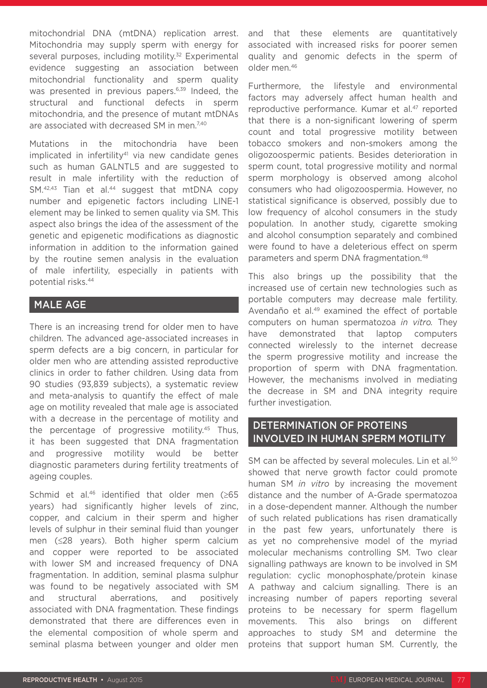mitochondrial DNA (mtDNA) replication arrest. Mitochondria may supply sperm with energy for several purposes, including motility.<sup>32</sup> Experimental evidence suggesting an association between mitochondrial functionality and sperm quality was presented in previous papers.<sup>6,39</sup> Indeed, the structural and functional defects in sperm mitochondria, and the presence of mutant mtDNAs are associated with decreased SM in men.<sup>7,40</sup>

Mutations in the mitochondria have been implicated in infertility<sup>41</sup> via new candidate genes such as human GALNTL5 and are suggested to result in male infertility with the reduction of  $SM.<sup>42,43</sup>$  Tian et al.<sup>44</sup> suggest that mtDNA copy number and epigenetic factors including LINE-1 element may be linked to semen quality via SM. This aspect also brings the idea of the assessment of the genetic and epigenetic modifications as diagnostic information in addition to the information gained by the routine semen analysis in the evaluation of male infertility, especially in patients with potential risks.44

## MALE AGE

There is an increasing trend for older men to have children. The advanced age-associated increases in sperm defects are a big concern, in particular for older men who are attending assisted reproductive clinics in order to father children. Using data from 90 studies (93,839 subjects), a systematic review and meta-analysis to quantify the effect of male age on motility revealed that male age is associated with a decrease in the percentage of motility and the percentage of progressive motility.45 Thus, it has been suggested that DNA fragmentation and progressive motility would be better diagnostic parameters during fertility treatments of ageing couples.

Schmid et al.46 identified that older men (≥65 years) had significantly higher levels of zinc, copper, and calcium in their sperm and higher levels of sulphur in their seminal fluid than younger men (≤28 years). Both higher sperm calcium and copper were reported to be associated with lower SM and increased frequency of DNA fragmentation. In addition, seminal plasma sulphur was found to be negatively associated with SM and structural aberrations, and positively associated with DNA fragmentation. These findings demonstrated that there are differences even in the elemental composition of whole sperm and seminal plasma between younger and older men and that these elements are quantitatively associated with increased risks for poorer semen quality and genomic defects in the sperm of older men.46

Furthermore, the lifestyle and environmental factors may adversely affect human health and reproductive performance. Kumar et al.<sup>47</sup> reported that there is a non-significant lowering of sperm count and total progressive motility between tobacco smokers and non-smokers among the oligozoospermic patients. Besides deterioration in sperm count, total progressive motility and normal sperm morphology is observed among alcohol consumers who had oligozoospermia. However, no statistical significance is observed, possibly due to low frequency of alcohol consumers in the study population. In another study, cigarette smoking and alcohol consumption separately and combined were found to have a deleterious effect on sperm parameters and sperm DNA fragmentation.48

This also brings up the possibility that the increased use of certain new technologies such as portable computers may decrease male fertility. Avendaño et al.49 examined the effect of portable computers on human spermatozoa *in vitro.* They have demonstrated that laptop computers connected wirelessly to the internet decrease the sperm progressive motility and increase the proportion of sperm with DNA fragmentation. However, the mechanisms involved in mediating the decrease in SM and DNA integrity require further investigation.

## DETERMINATION OF PROTEINS INVOLVED IN HUMAN SPERM MOTILITY

SM can be affected by several molecules. Lin et al.<sup>50</sup> showed that nerve growth factor could promote human SM *in vitro* by increasing the movement distance and the number of A-Grade spermatozoa in a dose-dependent manner. Although the number of such related publications has risen dramatically in the past few years, unfortunately there is as yet no comprehensive model of the myriad molecular mechanisms controlling SM. Two clear signalling pathways are known to be involved in SM regulation: cyclic monophosphate/protein kinase A pathway and calcium signalling. There is an increasing number of papers reporting several proteins to be necessary for sperm flagellum movements. This also brings on different approaches to study SM and determine the proteins that support human SM. Currently, the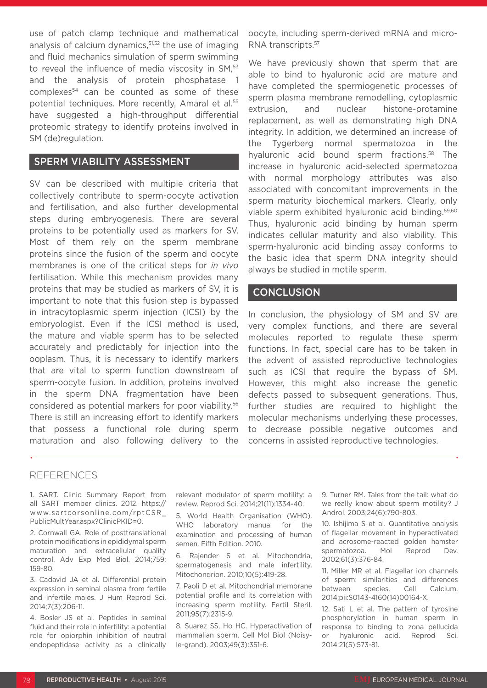use of patch clamp technique and mathematical analysis of calcium dynamics,<sup>51,52</sup> the use of imaging and fluid mechanics simulation of sperm swimming to reveal the influence of media viscosity in SM.<sup>53</sup> and the analysis of protein phosphatase 1 complexes<sup>54</sup> can be counted as some of these potential techniques. More recently, Amaral et al.<sup>55</sup> have suggested a high-throughput differential proteomic strategy to identify proteins involved in SM (de)regulation.

### SPERM VIABILITY ASSESSMENT

SV can be described with multiple criteria that collectively contribute to sperm-oocyte activation and fertilisation, and also further developmental steps during embryogenesis. There are several proteins to be potentially used as markers for SV. Most of them rely on the sperm membrane proteins since the fusion of the sperm and oocyte membranes is one of the critical steps for *in vivo* fertilisation. While this mechanism provides many proteins that may be studied as markers of SV, it is important to note that this fusion step is bypassed in intracytoplasmic sperm injection (ICSI) by the embryologist. Even if the ICSI method is used, the mature and viable sperm has to be selected accurately and predictably for injection into the ooplasm. Thus, it is necessary to identify markers that are vital to sperm function downstream of sperm-oocyte fusion. In addition, proteins involved in the sperm DNA fragmentation have been considered as potential markers for poor viability.56 There is still an increasing effort to identify markers that possess a functional role during sperm maturation and also following delivery to the

oocyte, including sperm-derived mRNA and micro-RNA transcripts.57

We have previously shown that sperm that are able to bind to hyaluronic acid are mature and have completed the spermiogenetic processes of sperm plasma membrane remodelling, cytoplasmic extrusion, and nuclear histone-protamine replacement, as well as demonstrating high DNA integrity. In addition, we determined an increase of the Tygerberg normal spermatozoa in the hyaluronic acid bound sperm fractions.<sup>58</sup> The increase in hyaluronic acid-selected spermatozoa with normal morphology attributes was also associated with concomitant improvements in the sperm maturity biochemical markers. Clearly, only viable sperm exhibited hyaluronic acid binding.59,60 Thus, hyaluronic acid binding by human sperm indicates cellular maturity and also viability. This sperm-hyaluronic acid binding assay conforms to the basic idea that sperm DNA integrity should always be studied in motile sperm.

#### **CONCLUSION**

In conclusion, the physiology of SM and SV are very complex functions, and there are several molecules reported to regulate these sperm functions. In fact, special care has to be taken in the advent of assisted reproductive technologies such as ICSI that require the bypass of SM. However, this might also increase the genetic defects passed to subsequent generations. Thus, further studies are required to highlight the molecular mechanisms underlying these processes, to decrease possible negative outcomes and concerns in assisted reproductive technologies.

#### REFERENCES

1. SART. Clinic Summary Report from all SART member clinics. 2012. https:// www.sartcorsonline.com/rptCSR\_ PublicMultYear.aspx?ClinicPKID=0.

2. Cornwall GA. Role of posttranslational protein modifications in epididymal sperm maturation and extracellular quality control. Adv Exp Med Biol. 2014;759: 159-80.

3. Cadavid JA et al. Differential protein expression in seminal plasma from fertile and infertile males. J Hum Reprod Sci. 2014;7(3):206-11.

4. Bosler JS et al. Peptides in seminal fluid and their role in infertility: a potential role for opiorphin inhibition of neutral endopeptidase activity as a clinically relevant modulator of sperm motility: a review. Reprod Sci. 2014;21(11):1334-40.

5. World Health Organisation (WHO). WHO laboratory manual for the examination and processing of human semen. Fifth Edition. 2010.

6. Rajender S et al. Mitochondria, spermatogenesis and male infertility. Mitochondrion. 2010;10(5):419-28.

7. Paoli D et al. Mitochondrial membrane potential profile and its correlation with increasing sperm motility. Fertil Steril. 2011;95(7):2315-9.

8. Suarez SS, Ho HC. Hyperactivation of mammalian sperm. Cell Mol Biol (Noisyle-grand). 2003;49(3):351-6.

9. Turner RM. Tales from the tail: what do we really know about sperm motility? J Androl. 2003;24(6):790-803.

10. Ishijima S et al. Quantitative analysis of flagellar movement in hyperactivated and acrosome-reacted golden hamster spermatozoa. Mol Reprod Dev. 2002;61(3):376-84.

11. Miller MR et al. Flagellar ion channels of sperm: similarities and differences between species. Cell Calcium. 2014;pii:S0143-4160(14)00164-X.

12. Sati L et al. The pattern of tyrosine phosphorylation in human sperm in response to binding to zona pellucida or hyaluronic acid. Reprod Sci. 2014;21(5):573-81.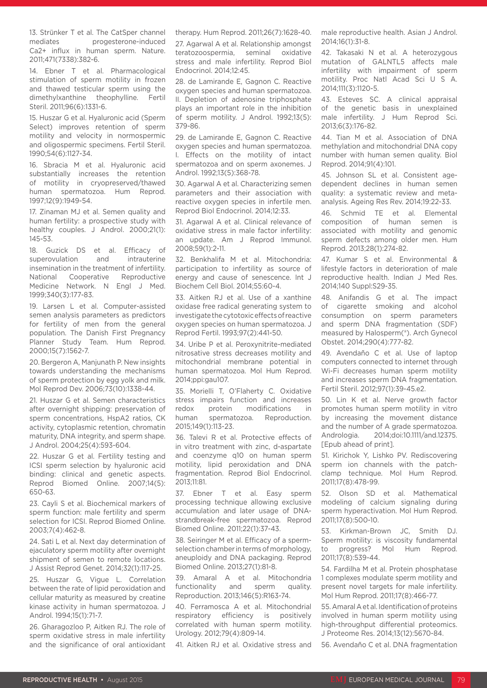13. Strünker T et al. The CatSper channel mediates progesterone-induced Ca2+ influx in human sperm. Nature. 2011;471(7338):382-6.

14. Ebner T et al. Pharmacological stimulation of sperm motility in frozen and thawed testicular sperm using the dimethylxanthine theophylline. Fertil Steril. 2011;96(6):1331-6.

15. Huszar G et al. Hyaluronic acid (Sperm Select) improves retention of sperm motility and velocity in normospermic and oligospermic specimens. Fertil Steril. 1990;54(6):1127-34.

16. Sbracia M et al. Hyaluronic acid substantially increases the retention of motility in cryopreserved/thawed human spermatozoa. Hum Reprod. 1997;12(9):1949-54.

17. Zinaman MJ et al. Semen quality and human fertility: a prospective study with healthy couples. J Androl. 2000;21(1): 145-53.

18. Guzick DS et al. Efficacy of superovulation and intrauterine insemination in the treatment of infertility. National Cooperative Reproductive Medicine Network. N Engl J Med. 1999;340(3):177-83.

19. Larsen L et al. Computer-assisted semen analysis parameters as predictors for fertility of men from the general population. The Danish First Pregnancy Planner Study Team. Hum Reprod. 2000;15(7):1562-7.

20. Bergeron A, Manjunath P. New insights towards understanding the mechanisms of sperm protection by egg yolk and milk. Mol Reprod Dev. 2006;73(10):1338-44.

21. Huszar G et al. Semen characteristics after overnight shipping: preservation of sperm concentrations, HspA2 ratios, CK activity, cytoplasmic retention, chromatin maturity, DNA integrity, and sperm shape. J Androl. 2004;25(4):593-604.

22. Huszar G et al. Fertility testing and ICSI sperm selection by hyaluronic acid binding: clinical and genetic aspects. Reprod Biomed Online. 2007;14(5): 650-63.

23. Cayli S et al. Biochemical markers of sperm function: male fertility and sperm selection for ICSI. Reprod Biomed Online. 2003;7(4):462-8.

24. Sati L et al. Next day determination of ejaculatory sperm motility after overnight shipment of semen to remote locations. J Assist Reprod Genet. 2014;32(1):117-25.

25. Huszar G, Vigue L. Correlation between the rate of lipid peroxidation and cellular maturity as measured by creatine kinase activity in human spermatozoa. J Androl. 1994;15(1):71-7.

26. Gharagozloo P, Aitken RJ. The role of sperm oxidative stress in male infertility and the significance of oral antioxidant

therapy. Hum Reprod. 2011;26(7):1628-40.

27. Agarwal A et al. Relationship amongst teratozoospermia, seminal oxidative stress and male infertility. Reprod Biol Endocrinol. 2014;12:45.

28. de Lamirande E, Gagnon C. Reactive oxygen species and human spermatozoa. II. Depletion of adenosine triphosphate plays an important role in the inhibition of sperm motility. J Androl. 1992;13(5): 379-86.

29. de Lamirande E, Gagnon C. Reactive oxygen species and human spermatozoa. I. Effects on the motility of intact spermatozoa and on sperm axonemes. J Androl. 1992;13(5):368-78.

30. Agarwal A et al. Characterizing semen parameters and their association with reactive oxygen species in infertile men. Reprod Biol Endocrinol. 2014;12:33.

31. Agarwal A et al. Clinical relevance of oxidative stress in male factor infertility: an update. Am J Reprod Immunol. 2008;59(1):2-11.

32. Benkhalifa M et al. Mitochondria: participation to infertility as source of energy and cause of senescence. Int J Biochem Cell Biol. 2014;55:60-4.

33. Aitken RJ et al. Use of a xanthine oxidase free radical generating system to investigate the cytotoxic effects of reactive oxygen species on human spermatozoa. J Reprod Fertil. 1993;97(2):441-50.

34. Uribe P et al. Peroxynitrite-mediated nitrosative stress decreases motility and mitochondrial membrane potential in human spermatozoa. Mol Hum Reprod. 2014;ppi:gau107.

35. Morielli T, O'Flaherty C. Oxidative stress impairs function and increases redox protein modifications in human spermatozoa. Reproduction. 2015;149(1):113-23.

36. Talevi R et al. Protective effects of in vitro treatment with zinc, d-aspartate and coenzyme q10 on human sperm motility, lipid peroxidation and DNA fragmentation. Reprod Biol Endocrinol. 2013;11:81.

37. Ebner T et al. Easy sperm processing technique allowing exclusive accumulation and later usage of DNAstrandbreak-free spermatozoa. Reprod Biomed Online. 2011;22(1):37-43.

38. Seiringer M et al. Efficacy of a spermselection chamber in terms of morphology, aneuploidy and DNA packaging. Reprod Biomed Online. 2013;27(1):81-8.

Amaral A et al. Mitochondria functionality and sperm quality. Reproduction. 2013;146(5):R163-74.

40. Ferramosca A et al. Mitochondrial respiratory efficiency is positively correlated with human sperm motility. Urology. 2012;79(4):809-14.

41. Aitken RJ et al. Oxidative stress and

male reproductive health. Asian J Androl. 2014;16(1):31-8.

42. Takasaki N et al. A heterozygous mutation of GALNTL5 affects male infertility with impairment of sperm motility. Proc Natl Acad Sci U S A. 2014;111(3):1120-5.

43. Esteves SC. A clinical appraisal of the genetic basis in unexplained male infertility. J Hum Reprod Sci. 2013;6(3):176-82.

44. Tian M et al. Association of DNA methylation and mitochondrial DNA copy number with human semen quality. Biol Reprod. 2014;91(4):101.

45. Johnson SL et al. Consistent agedependent declines in human semen quality: a systematic review and metaanalysis. Ageing Res Rev. 2014;19:22-33.

46. Schmid TE et al. Elemental composition of human semen is associated with motility and genomic sperm defects among older men. Hum Reprod. 2013;28(1):274-82.

47. Kumar S et al. Environmental & lifestyle factors in deterioration of male reproductive health. Indian J Med Res. 2014;140 Suppl:S29-35.

48. Anifandis G et al. The impact of cigarette smoking and alcohol consumption on sperm parameters and sperm DNA fragmentation (SDF) measured by Halosperm(®). Arch Gynecol Obstet. 2014;290(4):777-82.

49. Avendaño C et al. Use of laptop computers connected to internet through Wi-Fi decreases human sperm motility and increases sperm DNA fragmentation. Fertil Steril. 2012;97(1):39-45.e2.

50. Lin K et al. Nerve growth factor promotes human sperm motility in vitro by increasing the movement distance and the number of A grade spermatozoa. Andrologia. 2014;doi:10.1111/and.12375. [Epub ahead of print].

51. Kirichok Y, Lishko PV. Rediscovering sperm ion channels with the patchclamp technique. Mol Hum Reprod. 2011;17(8):478-99.

52. Olson SD et al. Mathematical modeling of calcium signaling during sperm hyperactivation. Mol Hum Reprod. 2011;17(8):500-10.

53. Kirkman-Brown JC, Smith DJ. Sperm motility: is viscosity fundamental to progress? Mol Hum Reprod. 2011;17(8):539-44.

54. Fardilha M et al. Protein phosphatase 1 complexes modulate sperm motility and present novel targets for male infertility. Mol Hum Reprod. 2011;17(8):466-77.

55. Amaral A et al. Identification of proteins involved in human sperm motility using high-throughput differential proteomics. J Proteome Res. 2014;13(12):5670-84.

56. Avendaño C et al. DNA fragmentation